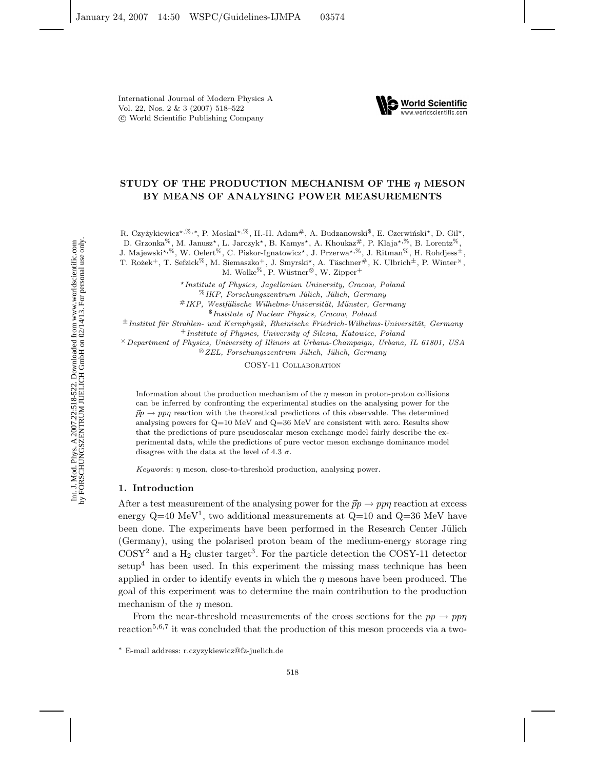International Journal of Modern Physics A Vol. 22, Nos. 2 & 3 (2007) 518–522 c World Scientific Publishing Company



# **STUDY OF THE PRODUCTION MECHANISM OF THE** *η* **MESON BY MEANS OF ANALYSING POWER MEASUREMENTS**

R. Czyżykiewicz\*,<sup>%,∗</sup>, P. Moskal\*,<sup>%</sup>, H.-H. Adam<sup>#</sup>, A. Budzanowski<sup>§</sup>, E. Czerwiński\*, D. Gil\*,

D. Grzonka<sup>%</sup>, M. Janusz<sup>\*</sup>, L. Jarczyk<sup>\*</sup>, B. Kamys<sup>\*</sup>, A. Khoukaz<sup>#</sup>, P. Klaja<sup>\*,%</sup>, B. Lorentz<sup>%</sup>,

J. Majewski<sup>\*,%</sup>, W. Oelert<sup>%</sup>, C. Piskor-Ignatowicz\*, J. Przerwa\*<sup>,%</sup>, J. Ritman<sup>%</sup>, H. Rohdjess<sup>±</sup>,

T. Rożek<sup>+</sup>, T. Sefzick<sup>%</sup>, M. Siemaszko<sup>+</sup>, J. Smyrski<sup>\*</sup>, A. Täschner<sup>#</sup>, K. Ulbrich<sup>±</sup>, P. Winter<sup>×</sup>,

M. Wolke<sup>%</sup>, P. Wüstner<sup>⊗</sup>, W. Zipper<sup>+</sup>

*Institute of Physics, Jagellonian University, Cracow, Poland*

%*IKP, Forschungszentrum J¨ulich, J¨ulich, Germany*

#IKP, Westfälische Wilhelms-Universität, Münster, Germany

\$*Institute of Nuclear Physics, Cracow, Poland*

 $±$ *Institut für Strahlen- und Kernphysik, Rheinische Friedrich-Wilhelms-Universität, Germany* 

<sup>+</sup>*Institute of Physics, University of Silesia, Katowice, Poland*

×*Department of Physics, University of Illinois at Urbana-Champaign, Urbana, IL 61801, USA* ⊗*ZEL, Forschungszentrum J¨ulich, J¨ulich, Germany*

COSY-11 Collaboration

Information about the production mechanism of the  $\eta$  meson in proton-proton collisions can be inferred by confronting the experimental studies on the analysing power for the  $\vec{p}$   $\rightarrow$  ppn reaction with the theoretical predictions of this observable. The determined analysing powers for Q=10 MeV and Q=36 MeV are consistent with zero. Results show that the predictions of pure pseudoscalar meson exchange model fairly describe the experimental data, while the predictions of pure vector meson exchange dominance model disagree with the data at the level of 4.3  $\sigma$ .

*Keywords*: η meson, close-to-threshold production, analysing power.

# **1. Introduction**

After a test measurement of the analysing power for the  $\vec{p}p \rightarrow pp\eta$  reaction at excess energy  $Q=40 \text{ MeV}^1$ , two additional measurements at  $Q=10$  and  $Q=36 \text{ MeV}$  have been done. The experiments have been performed in the Research Center Jülich (Germany), using the polarised proton beam of the medium-energy storage ring  $\text{COSY}^2$  and a  $\text{H}_2$  cluster target<sup>3</sup>. For the particle detection the COSY-11 detector setup<sup>4</sup> has been used. In this experiment the missing mass technique has been applied in order to identify events in which the  $\eta$  mesons have been produced. The goal of this experiment was to determine the main contribution to the production mechanism of the  $\eta$  meson.

From the near-threshold measurements of the cross sections for the  $pp \rightarrow pp\eta$ reaction<sup>5,6,7</sup> it was concluded that the production of this meson proceeds via a two-

<sup>∗</sup> E-mail address: r.czyzykiewicz@fz-juelich.de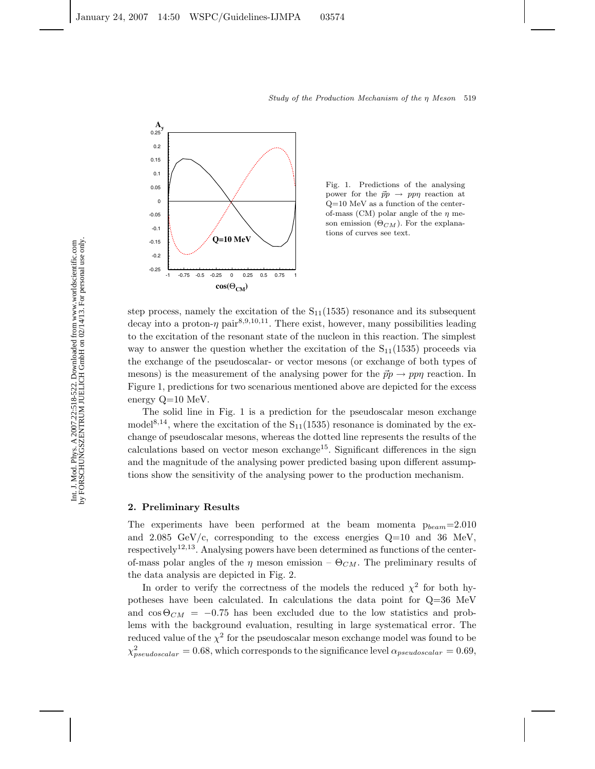

Fig. 1. Predictions of the analysing power for the  $\vec{p}p \rightarrow pp\eta$  reaction at Q=10 MeV as a function of the centerof-mass (CM) polar angle of the  $\eta$  meson emission  $(\Theta_{CM})$ . For the explanations of curves see text.

step process, namely the excitation of the  $S_{11}(1535)$  resonance and its subsequent decay into a proton- $\eta$  pair<sup>8,9,10,11</sup>. There exist, however, many possibilities leading to the excitation of the resonant state of the nucleon in this reaction. The simplest way to answer the question whether the excitation of the  $S_{11}(1535)$  proceeds via the exchange of the pseudoscalar- or vector mesons (or exchange of both types of mesons) is the measurement of the analysing power for the  $\vec{p}p \rightarrow pp\eta$  reaction. In Figure 1, predictions for two scenarious mentioned above are depicted for the excess energy Q=10 MeV.

The solid line in Fig. 1 is a prediction for the pseudoscalar meson exchange model<sup>8,14</sup>, where the excitation of the  $S_{11}(1535)$  resonance is dominated by the exchange of pseudoscalar mesons, whereas the dotted line represents the results of the calculations based on vector meson exchange<sup>15</sup>. Significant differences in the sign and the magnitude of the analysing power predicted basing upon different assumptions show the sensitivity of the analysing power to the production mechanism.

# **2. Preliminary Results**

The experiments have been performed at the beam momenta p*beam*=2.010 and  $2.085 \text{ GeV/c}$ , corresponding to the excess energies  $Q=10$  and 36 MeV, respectively<sup>12</sup>*,*<sup>13</sup>. Analysing powers have been determined as functions of the centerof-mass polar angles of the  $\eta$  meson emission –  $\Theta_{CM}$ . The preliminary results of the data analysis are depicted in Fig. 2.

In order to verify the correctness of the models the reduced  $\chi^2$  for both hypotheses have been calculated. In calculations the data point for Q=36 MeV and  $\cos \Theta_{CM}$  = −0.75 has been excluded due to the low statistics and problems with the background evaluation, resulting in large systematical error. The reduced value of the  $\chi^2$  for the pseudoscalar meson exchange model was found to be  $\chi_{pseudoscalar}^2 = 0.68$ , which corresponds to the significance level  $\alpha_{pseudoscalar} = 0.69$ ,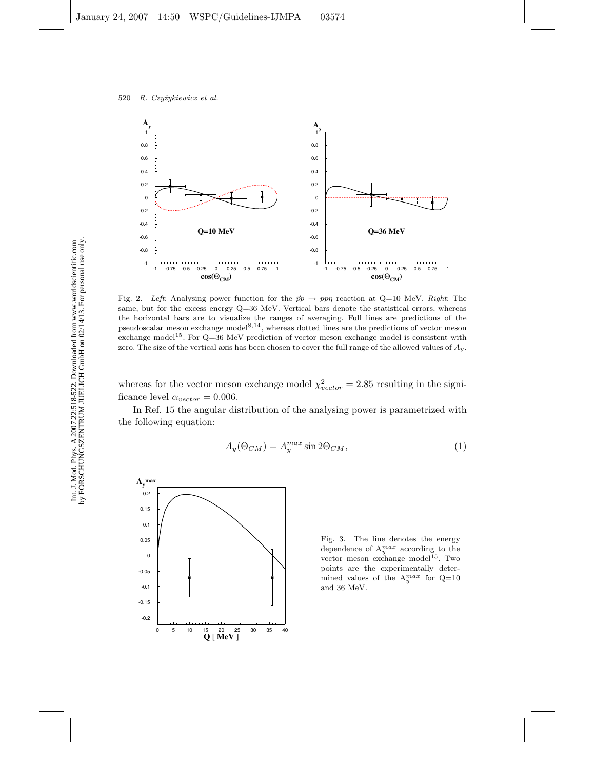

Fig. 2. Left: Analysing power function for the  $\vec{p}p \to pp\eta$  reaction at Q=10 MeV. *Right*: The same, but for the excess energy Q=36 MeV. Vertical bars denote the statistical errors, whereas the horizontal bars are to visualize the ranges of averaging. Full lines are predictions of the pseudoscalar meson exchange model<sup>8,14</sup>, whereas dotted lines are the predictions of vector meson exchange model<sup>15</sup>. For  $Q=36$  MeV prediction of vector meson exchange model is consistent with zero. The size of the vertical axis has been chosen to cover the full range of the allowed values of  $Ay$ .

whereas for the vector meson exchange model  $\chi^2_{vector} = 2.85$  resulting in the significance level  $\alpha_{vector} = 0.006$ .

In Ref. 15 the angular distribution of the analysing power is parametrized with the following equation:

$$
A_y(\Theta_{CM}) = A_y^{max} \sin 2\Theta_{CM}, \qquad (1)
$$



Fig. 3. The line denotes the energy dependence of  $A_y^{max}$  according to the vector meson exchange model<sup>15</sup>. Two points are the experimentally determined values of the  $A_y^{max}$  for  $Q=10$ and 36 MeV.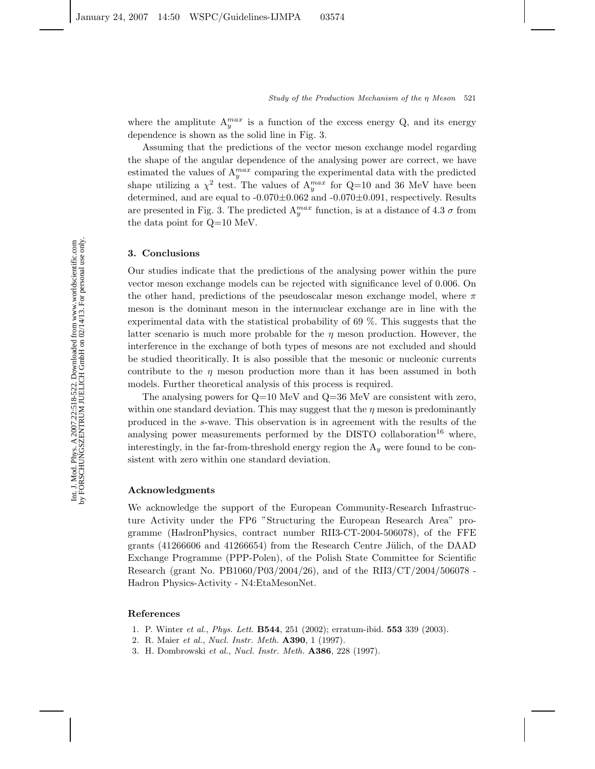where the amplitute  $A_y^{max}$  is a function of the excess energy Q, and its energy dependence is shown as the solid line in Fig. 3.

Assuming that the predictions of the vector meson exchange model regarding the shape of the angular dependence of the analysing power are correct, we have estimated the values of  $A_y^{max}$  comparing the experimental data with the predicted shape utilizing a  $\chi^2$  test. The values of  $A_y^{max}$  for Q=10 and 36 MeV have been determined, and are equal to  $-0.070\pm0.062$  and  $-0.070\pm0.091$ , respectively. Results are presented in Fig. 3. The predicted  $A_y^{max}$  function, is at a distance of 4.3  $\sigma$  from the data point for Q=10 MeV.

#### **3. Conclusions**

Our studies indicate that the predictions of the analysing power within the pure vector meson exchange models can be rejected with significance level of 0.006. On the other hand, predictions of the pseudoscalar meson exchange model, where  $\pi$ meson is the dominant meson in the internuclear exchange are in line with the experimental data with the statistical probability of 69 %. This suggests that the latter scenario is much more probable for the  $\eta$  meson production. However, the interference in the exchange of both types of mesons are not excluded and should be studied theoritically. It is also possible that the mesonic or nucleonic currents contribute to the  $\eta$  meson production more than it has been assumed in both models. Further theoretical analysis of this process is required.

The analysing powers for  $Q=10$  MeV and  $Q=36$  MeV are consistent with zero, within one standard deviation. This may suggest that the  $\eta$  meson is predominantly produced in the s-wave. This observation is in agreement with the results of the analysing power measurements performed by the DISTO collaboration<sup>16</sup> where, interestingly, in the far-from-threshold energy region the A*<sup>y</sup>* were found to be consistent with zero within one standard deviation.

## **Acknowledgments**

We acknowledge the support of the European Community-Research Infrastructure Activity under the FP6 "Structuring the European Research Area" programme (HadronPhysics, contract number RII3-CT-2004-506078), of the FFE grants  $(41266606$  and  $41266654)$  from the Research Centre Jülich, of the DAAD Exchange Programme (PPP-Polen), of the Polish State Committee for Scientific Research (grant No. PB1060/P03/2004/26), and of the RII3/CT/2004/506078 - Hadron Physics-Activity - N4:EtaMesonNet.

## **References**

- 1. P. Winter *et al.*, *Phys. Lett.* **B544**, 251 (2002); erratum-ibid. **553** 339 (2003).
- 2. R. Maier *et al.*, *Nucl. Instr. Meth.* **A390**, 1 (1997).
- 3. H. Dombrowski *et al.*, *Nucl. Instr. Meth.* **A386**, 228 (1997).